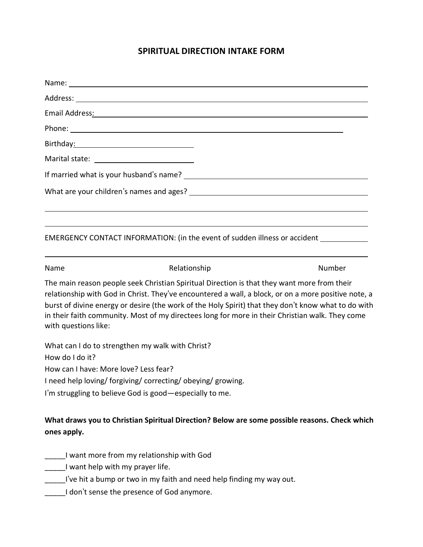## **SPIRITUAL DIRECTION INTAKE FORM**

|                                                                                                                 | Email Address: No. 2014 19:30 19:30 19:30 19:30 19:30 19:30 19:30 19:30 19:30 19:30 19:30 19:30 19:30 19:30 19:30 19:30 19:30 19:30 19:30 19:30 19:30 19:30 19:30 19:30 19:30 19:30 19:30 19:30 19:30 19:30 19:30 19:30 19:30                                                                                                                                                                                |        |
|-----------------------------------------------------------------------------------------------------------------|--------------------------------------------------------------------------------------------------------------------------------------------------------------------------------------------------------------------------------------------------------------------------------------------------------------------------------------------------------------------------------------------------------------|--------|
|                                                                                                                 | Phone: Note and the second contract of the second contract of the second contract of the second contract of the second contract of the second contract of the second contract of the second contract of the second contract of                                                                                                                                                                               |        |
| Birthday: 2008 and 2012 and 2013 and 2014 and 2014 and 2017 and 2018 and 2018 and 2018 and 2018 and 2018 and 20 |                                                                                                                                                                                                                                                                                                                                                                                                              |        |
|                                                                                                                 |                                                                                                                                                                                                                                                                                                                                                                                                              |        |
|                                                                                                                 | If married what is your husband's name? The same of the same of the same of the same of the same of the same o                                                                                                                                                                                                                                                                                               |        |
|                                                                                                                 | What are your children's names and ages? What are your children's names and ages?                                                                                                                                                                                                                                                                                                                            |        |
|                                                                                                                 | EMERGENCY CONTACT INFORMATION: (in the event of sudden illness or accident                                                                                                                                                                                                                                                                                                                                   |        |
| Name                                                                                                            | Relationship                                                                                                                                                                                                                                                                                                                                                                                                 | Number |
| with questions like:                                                                                            | The main reason people seek Christian Spiritual Direction is that they want more from their<br>relationship with God in Christ. They've encountered a wall, a block, or on a more positive note, a<br>burst of divine energy or desire (the work of the Holy Spirit) that they don't know what to do with<br>in their faith community. Most of my directees long for more in their Christian walk. They come |        |
|                                                                                                                 | What can I do to strengthen my walk with Christ?                                                                                                                                                                                                                                                                                                                                                             |        |
| How do I do it?                                                                                                 |                                                                                                                                                                                                                                                                                                                                                                                                              |        |
| How can I have: More love? Less fear?                                                                           |                                                                                                                                                                                                                                                                                                                                                                                                              |        |
|                                                                                                                 | I need help loving/forgiving/correcting/obeying/growing.                                                                                                                                                                                                                                                                                                                                                     |        |
|                                                                                                                 | I'm struggling to believe God is good - especially to me.                                                                                                                                                                                                                                                                                                                                                    |        |
|                                                                                                                 |                                                                                                                                                                                                                                                                                                                                                                                                              |        |

# **What draws you to Christian Spiritual Direction? Below are some possible reasons. Check which ones apply.**

- \_\_\_\_\_I want more from my relationship with God
- \_\_\_\_\_I want help with my prayer life.
- \_\_\_\_\_I've hit a bump or two in my faith and need help finding my way out.
- **\_\_\_\_\_I don't sense the presence of God anymore.**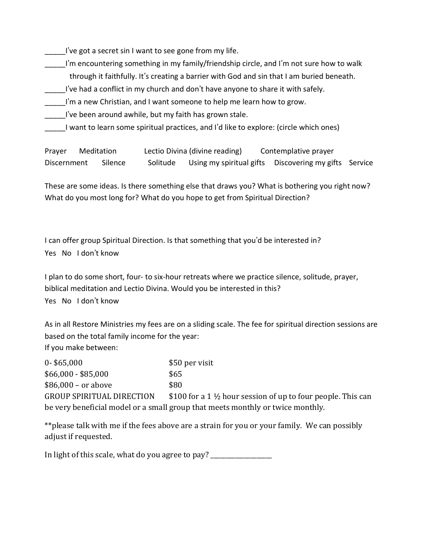I've got a secret sin I want to see gone from my life.

- I'm encountering something in my family/friendship circle, and I'm not sure how to walk through it faithfully. It's creating a barrier with God and sin that I am buried beneath.
- I've had a conflict in my church and don't have anyone to share it with safely.
- I'm a new Christian, and I want someone to help me learn how to grow.

I've been around awhile, but my faith has grown stale.

I want to learn some spiritual practices, and I'd like to explore: (circle which ones)

Prayer Meditation Lectio Divina (divine reading) Contemplative prayer Discernment Silence Solitude Using my spiritual gifts Discovering my gifts Service

These are some ideas. Is there something else that draws you? What is bothering you right now? What do you most long for? What do you hope to get from Spiritual Direction?

I can offer group Spiritual Direction. Is that something that you'd be interested in? Yes No I don't know

I plan to do some short, four- to six-hour retreats where we practice silence, solitude, prayer, biblical meditation and Lectio Divina. Would you be interested in this? Yes No I don't know

As in all Restore Ministries my fees are on a sliding scale. The fee for spiritual direction sessions are based on the total family income for the year: If you make between:

0- \$65,000 \$50 per visit  $$66,000 - $85,000$  \$65  $$86,000 - or above$  \$80 GROUP SPIRITUAL DIRECTION  $$100$  for a 1  $\frac{1}{2}$  hour session of up to four people. This can be very beneficial model or a small group that meets monthly or twice monthly. 

\*\*please talk with me if the fees above are a strain for you or your family. We can possibly adjust if requested. 

In light of this scale, what do you agree to pay? \_\_\_\_\_\_\_\_\_\_\_\_\_\_\_\_\_\_\_\_\_\_\_\_\_\_\_\_\_\_\_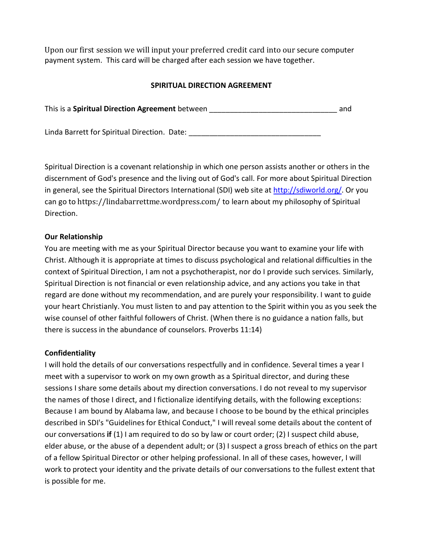Upon our first session we will input your preferred credit card into our secure computer payment system. This card will be charged after each session we have together.

### **SPIRITUAL DIRECTION AGREEMENT**

| This is a Spiritual Direction Agreement between | and |
|-------------------------------------------------|-----|
|                                                 |     |
| Linda Barrett for Spiritual Direction. Date:    |     |

Spiritual Direction is a covenant relationship in which one person assists another or others in the discernment of God's presence and the living out of God's call. For more about Spiritual Direction in general, see the Spiritual Directors International (SDI) web site at http://sdiworld.org/. Or you can go to https://lindabarrettme.wordpress.com/ to learn about my philosophy of Spiritual Direction.

#### **Our Relationship**

You are meeting with me as your Spiritual Director because you want to examine your life with Christ. Although it is appropriate at times to discuss psychological and relational difficulties in the context of Spiritual Direction, I am not a psychotherapist, nor do I provide such services. Similarly, Spiritual Direction is not financial or even relationship advice, and any actions you take in that regard are done without my recommendation, and are purely your responsibility. I want to guide your heart Christianly. You must listen to and pay attention to the Spirit within you as you seek the wise counsel of other faithful followers of Christ. (When there is no guidance a nation falls, but there is success in the abundance of counselors. Proverbs 11:14)

#### **Confidentiality**

I will hold the details of our conversations respectfully and in confidence. Several times a year I meet with a supervisor to work on my own growth as a Spiritual director, and during these sessions I share some details about my direction conversations. I do not reveal to my supervisor the names of those I direct, and I fictionalize identifying details, with the following exceptions: Because I am bound by Alabama law, and because I choose to be bound by the ethical principles described in SDI's "Guidelines for Ethical Conduct," I will reveal some details about the content of our conversations **if** (1) I am required to do so by law or court order; (2) I suspect child abuse, elder abuse, or the abuse of a dependent adult; or (3) I suspect a gross breach of ethics on the part of a fellow Spiritual Director or other helping professional. In all of these cases, however, I will work to protect your identity and the private details of our conversations to the fullest extent that is possible for me.